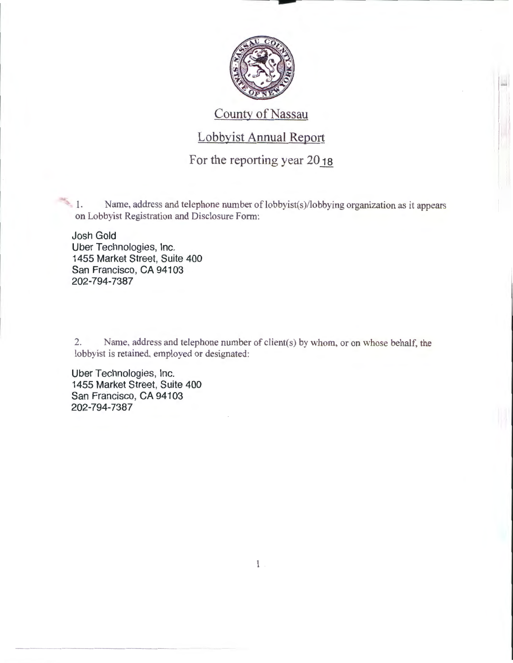

 $\frac{1}{2}$ 

### County of Nassau

# Lobbyist Annual Report

For the reporting year 2018

 $1.$  Name, address and telephone number of lobbyist(s)/lobbying organization as it appears on Lobbyist Registration and Disclosure Form:

Josh Gold Uber Technologies, Inc. 1455 Market Street, Suite 400 San Francisco, CA 94103 202-794-7387

2. Name. address and telephone number of client(s) by whom, or on whose behalf, the lobbyist is retained, employed or designated:

Uber Technologies, Inc. 1455 Market Street, Suite 400 San Francisco, CA 94103 202-794-7387

 $\mathbf{1}$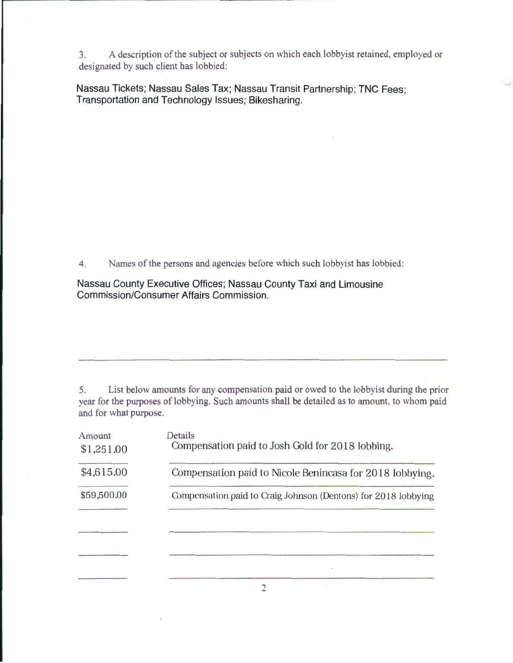3. A description of the subject or subjects on which each lobbyist retained, employed or designated by such client has lobbied:

Nassau Tickets; Nassau Sales Tax; Nassau Transit Partnership; TNC Fees; Transportation and Technology Issues; Bikesharing.

4. Names of the persons and agencies before which such lobbyist has lobbied:

Nassau County Executive Offices; Nassau County Taxi and Limousine Commission/Consumer Affairs Commission.

5. List below amounts for any compensation paid or owed to the lobbyist during the prior year for the purposes of lobbying. Such amounts shall be detailed as to amount, to whom paid and for what purpose.

| Amount<br>\$1,251.00 | Details<br>Compensation paid to Josh Gold for 2018 lobbing.    |
|----------------------|----------------------------------------------------------------|
| \$4,615.00           | Compensation paid to Nicole Benincasa for 2018 lobbying.       |
| \$59,500.00          | Compensation paid to Craig Johnson (Dentons) for 2018 lobbying |
|                      |                                                                |
|                      |                                                                |
|                      |                                                                |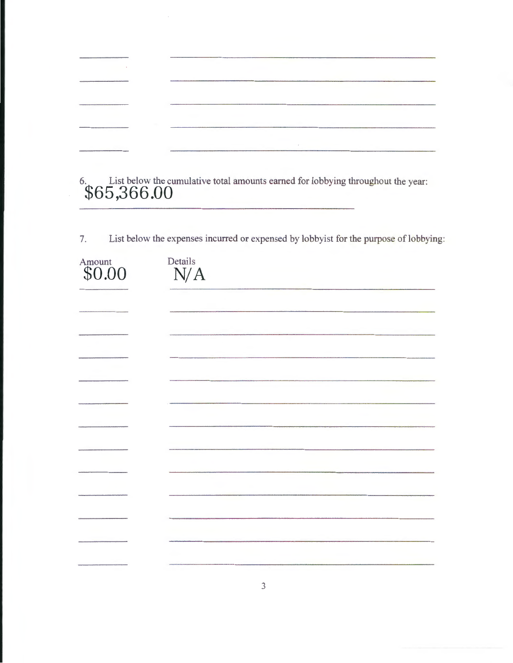| $\sim$ |                                                                                                                 |
|--------|-----------------------------------------------------------------------------------------------------------------|
|        | [1] 아이는 아이들은 아이들이 무엇이 없다.                                                                                       |
|        |                                                                                                                 |
|        |                                                                                                                 |
|        | the contract of the contract of the contract of the contract of the contract of the contract of the contract of |

6. List below the cumulative total amounts earned for lobbying throughout the year: **\$65,366.00** 

7. List below the expenses incurred or expensed by lobbyist for the purpose of lobbying:

| Amount<br>\$0.00 | Details<br>N/A |
|------------------|----------------|
|                  |                |
|                  |                |
|                  |                |
|                  |                |
|                  |                |
|                  |                |
|                  |                |
|                  |                |
|                  |                |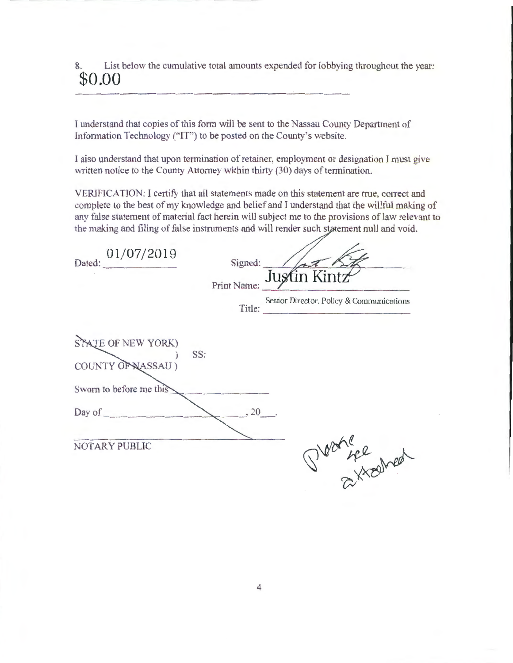8. List below the cumulative total amounts expended for lobbying throughout the year: **\$0.00** 

I understand that copies of this form will be sent to the Nassau County Department of Information Technology ("IT") to be posted on the County's website.

I also understand that upon termination of retainer, employment or designation I must give written notice to the County Attorney within thirty (30) days of termination.

VERIFICATION: I certify that all statements made on this statement are true, conect and complete to the best of my knowledge and belief and I understand that the willful making of any false statement of material fact herein will subject me to the provisions of law relevant to the making and filing of false instruments and will render such statement null and void.

| Dated: 01/07/2019       |     | Signed:<br>Print Name: | Justin Kintz<br>Senior Director, Policy & Communications<br>Title: |
|-------------------------|-----|------------------------|--------------------------------------------------------------------|
| STATE OF NEW YORK)      |     |                        |                                                                    |
| COUNTY OF NASSAU)       | SS: |                        |                                                                    |
| Sworn to before me this |     |                        |                                                                    |
| Day of                  |     | $.20$ .                |                                                                    |
|                         |     |                        |                                                                    |
| NOTARY PUBLIC           |     |                        | Proofinghed                                                        |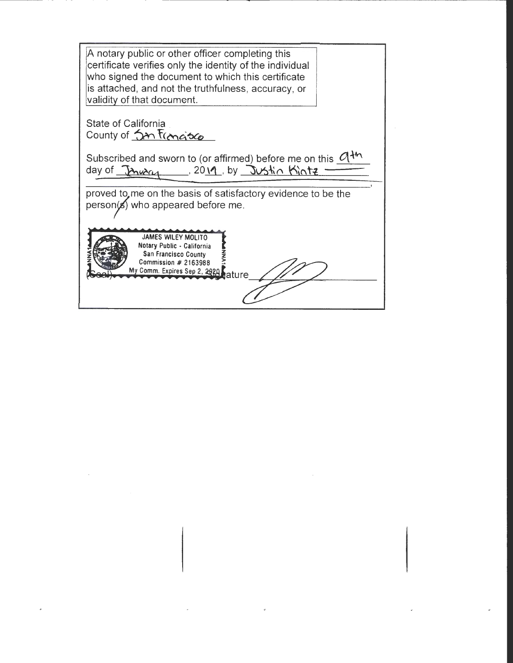| A notary public or other officer completing this<br>certificate verifies only the identity of the individual<br>who signed the document to which this certificate<br>is attached, and not the truthfulness, accuracy, or |  |
|--------------------------------------------------------------------------------------------------------------------------------------------------------------------------------------------------------------------------|--|
| validity of that document.                                                                                                                                                                                               |  |
| State of California                                                                                                                                                                                                      |  |
| County of Jan trangisco                                                                                                                                                                                                  |  |
| Subscribed and sworn to (or affirmed) before me on this $\mathcal{A}^{4n}$<br>day of January 12019, by Justin Kintz                                                                                                      |  |
| proved to, me on the basis of satisfactory evidence to be the<br>person(s) who appeared before me.                                                                                                                       |  |
| <b>JAMES WILEY MOLITO</b><br>Notary Public - California<br>San Francisco County<br>Commission $#2163988$<br>My Comm. Expires Sep 2, 2020, ature                                                                          |  |
|                                                                                                                                                                                                                          |  |

 $\label{eq:2.1} \mathcal{L}(\mathcal{L}(\mathcal{L})) = \mathcal{L}(\mathcal{L}(\mathcal{L})) = \mathcal{L}(\mathcal{L}(\mathcal{L})) = \mathcal{L}(\mathcal{L}(\mathcal{L})) = \mathcal{L}(\mathcal{L}(\mathcal{L}))$ 

 $\sim 200$  km s  $^{-1}$ 

 $\label{eq:2.1} \frac{1}{\sqrt{2}}\left(\frac{1}{\sqrt{2}}\right)^{2} \left(\frac{1}{\sqrt{2}}\right)^{2} \left(\frac{1}{\sqrt{2}}\right)^{2} \left(\frac{1}{\sqrt{2}}\right)^{2} \left(\frac{1}{\sqrt{2}}\right)^{2} \left(\frac{1}{\sqrt{2}}\right)^{2} \left(\frac{1}{\sqrt{2}}\right)^{2} \left(\frac{1}{\sqrt{2}}\right)^{2} \left(\frac{1}{\sqrt{2}}\right)^{2} \left(\frac{1}{\sqrt{2}}\right)^{2} \left(\frac{1}{\sqrt{2}}\right)^{2} \left(\$ 

 $\phi$ 

- --------- - -------------------------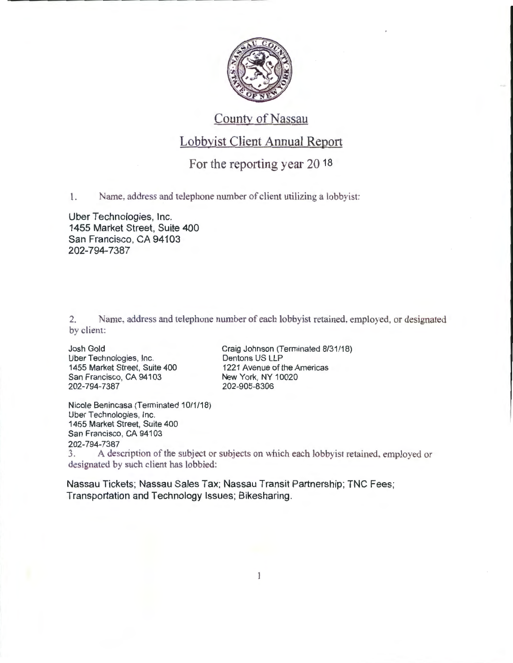

# County of Nassau

#### Lobbyist Client Annual Report

## For the reporting year 20 18

1. Name, address and telephone number of client utilizing a lobbyist:

Uber Technologies, Inc. 1455 Market Street, Suite 400 San Francisco, CA 94103 202-794-7387

2. Name, address and telephone number of each lobbyist retained, employed, or designated by client:

Josh Gold Uber Technologies, Inc. 1455 Market Street, Suite 400 San Francisco, CA 94103 202-794-7387

Craig Johnson (Terminated 8/31/18) Dentons US LLP 1221 Avenue of the Americas New York, NY 10020 202-905-8306

Nicole Benincasa (Terminated 10/1/18) Uber Technologies, Inc. 1455 Market Street, Suite 400 San Francisco, CA 94103 202-794-7387

3. A description of the subject or subjects on which each lobby ist retained, employed or designated by such client has lobbied:

 $\mathbf{1}$ 

Nassau Tickets; Nassau Sales Tax; Nassau Transit Partnership; TNC Fees; Transportation and Technology Issues; Bikesharing.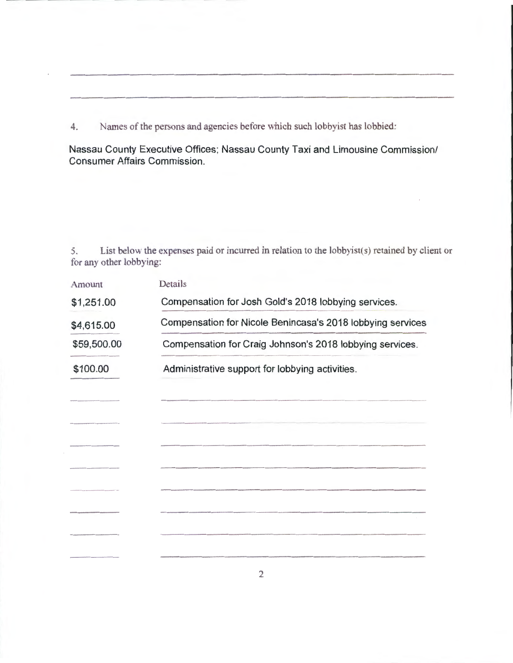4. Names of the persons and agencies before which such lobbyist has lobbied:

Nassau County Executive Offices; Nassau County Taxi and Limousine Commission/ Consumer Affairs Commission.

5. List below the expenses paid or incurred in relation to the lobbyist(s) retained by client or for any other lobbying:

| Amount      | Details                                                                                                                |  |  |  |  |
|-------------|------------------------------------------------------------------------------------------------------------------------|--|--|--|--|
| \$1,251.00  | Compensation for Josh Gold's 2018 lobbying services.                                                                   |  |  |  |  |
| \$4,615.00  | Compensation for Nicole Benincasa's 2018 lobbying services<br>Compensation for Craig Johnson's 2018 lobbying services. |  |  |  |  |
| \$59,500.00 |                                                                                                                        |  |  |  |  |
| \$100.00    | Administrative support for lobbying activities.                                                                        |  |  |  |  |
|             |                                                                                                                        |  |  |  |  |
|             |                                                                                                                        |  |  |  |  |
|             |                                                                                                                        |  |  |  |  |
|             |                                                                                                                        |  |  |  |  |
|             |                                                                                                                        |  |  |  |  |
|             |                                                                                                                        |  |  |  |  |
|             |                                                                                                                        |  |  |  |  |
|             |                                                                                                                        |  |  |  |  |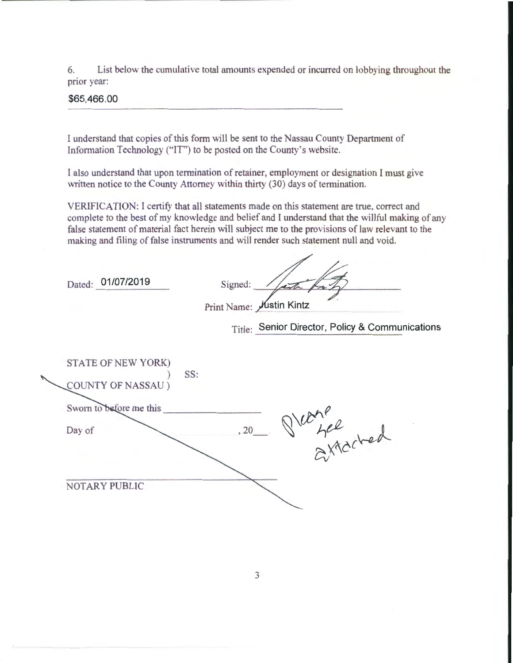6. List below the cumulative total amounts expended or incurred on lobbying throughout the prior year:

\$65,466.00

I understand that copies of this form will be sent to the Nassau County Department of Information Technology ("IT') to be posted on the County's website.

I also understand that upon termination of retainer, employment or designation I must give written notice to the County Attorney within thirty (30) days of termination.

VERIFICATION: I certify that all statements made on this statement are true. correct and complete to the best of my knowledge and belief and I understand that the willful making of any false statement of material fact herein will subject me to the provisions of law relevant to the making and filing of false instruments and will render such statement null and void.

Dated: 01/07/2019

| Signed:                          |  |
|----------------------------------|--|
| Print Name: <i>M</i> ustin Kintz |  |

Title: Senior Director, Policy & Communications

| STATE OF NEW YORK)<br>COUNTY OF NASSAU) | SS: |      |          |  |
|-----------------------------------------|-----|------|----------|--|
| Sworn to before me this                 |     |      |          |  |
| Day of                                  |     | , 20 | affacted |  |
|                                         |     |      |          |  |
| NOTARY PUBLIC                           |     |      |          |  |
|                                         |     |      |          |  |